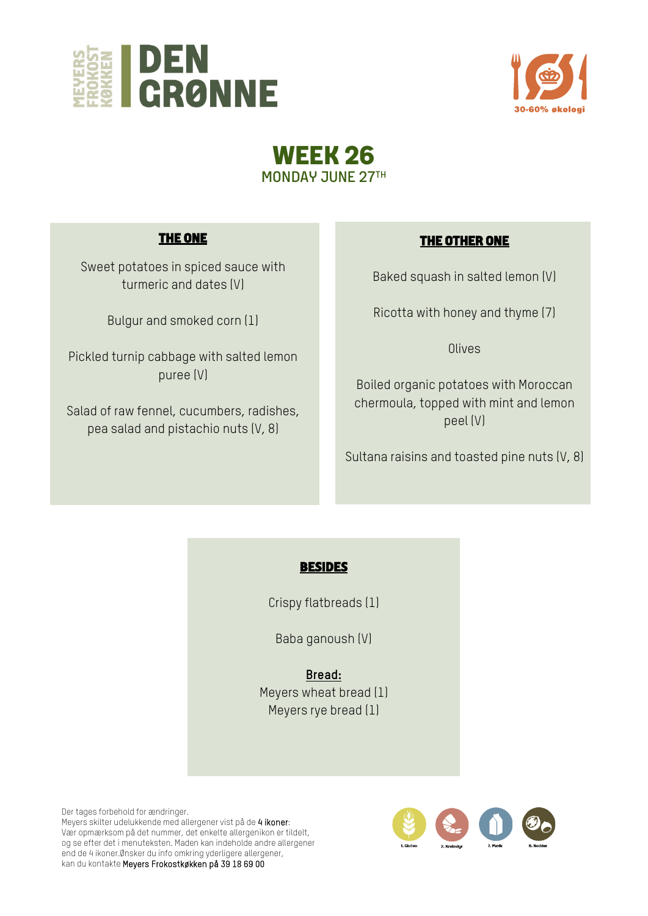





# **THE ONE**

Sweet potatoes in spiced sauce with turmeric and dates (V)

Bulgur and smoked corn (1)

Pickled turnip cabbage with salted lemon puree (V)

Salad of raw fennel, cucumbers, radishes, pea salad and pistachio nuts (V, 8)

# **THE OTHER ONE**

Baked squash in salted lemon (V)

Ricotta with honey and thyme (7)

**Olives** 

Boiled organic potatoes with Moroccan chermoula, topped with mint and lemon peel (V)

Sultana raisins and toasted pine nuts (V, 8)

## **BESIDES**

Crispy flatbreads (1)

Baba ganoush (V)

**Bread:**  Meyers wheat bread (1) Meyers rye bread (1)

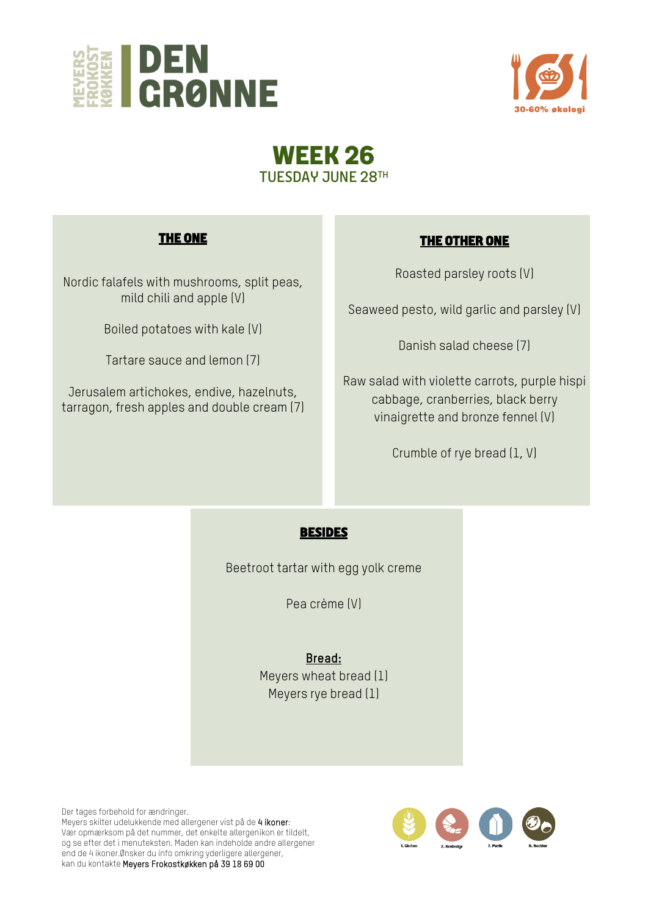



# **WEEK 26**  TUESDAY JUNE 28TH

## **THE ONE**

Nordic falafels with mushrooms, split peas, mild chili and apple (V)

Boiled potatoes with kale (V)

Tartare sauce and lemon (7)

Jerusalem artichokes, endive, hazelnuts, tarragon, fresh apples and double cream (7)

# **THE OTHER ONE**

Roasted parsley roots (V)

Seaweed pesto, wild garlic and parsley (V)

Danish salad cheese (7)

Raw salad with violette carrots, purple hispi cabbage, cranberries, black berry vinaigrette and bronze fennel (V)

Crumble of rye bread (1, V)

## **BESIDES**

Beetroot tartar with egg yolk creme

Pea crème (V)

**Bread:** Meyers wheat bread (1) Meyers rye bread (1)

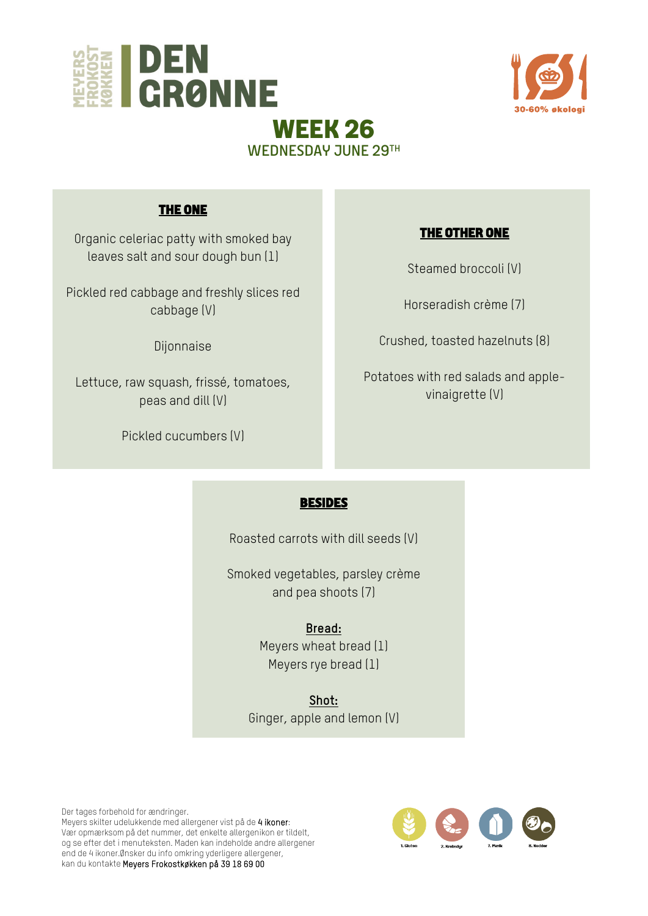



# **THE ONE**

Organic celeriac patty with smoked bay leaves salt and sour dough bun (1)

Pickled red cabbage and freshly slices red cabbage (V)

Dijonnaise

Lettuce, raw squash, frissé, tomatoes, peas and dill (V)

Pickled cucumbers (V)

#### **THE OTHER ONE**

Steamed broccoli (V)

Horseradish crème (7)

Crushed, toasted hazelnuts (8)

Potatoes with red salads and applevinaigrette (V)

#### **BESIDES**

WEDNESDAY JUNE 29TH

Roasted carrots with dill seeds (V)

Smoked vegetables, parsley crème and pea shoots (7)

> **Bread:** Meyers wheat bread (1) Meyers rye bread (1)

**Shot:**  Ginger, apple and lemon (V)

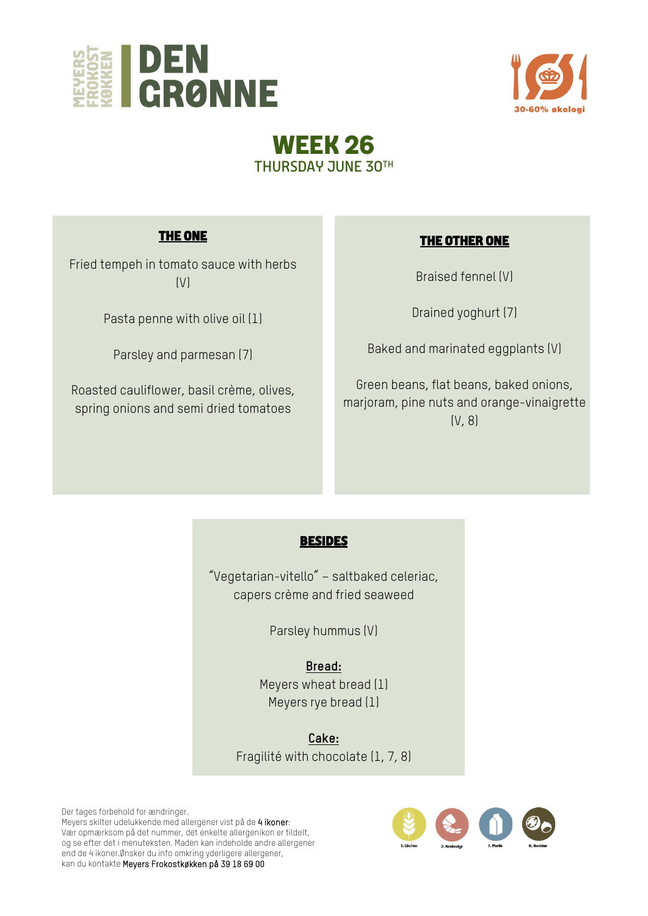



# **WEEK 26**  THURSDAY JUNE 30TH

# **THE ONE**

Fried tempeh in tomato sauce with herbs  $(V)$ 

Pasta penne with olive oil (1)

Parsley and parmesan (7)

Roasted cauliflower, basil crème, olives, spring onions and semi dried tomatoes

#### **THE OTHER ONE**

Braised fennel (V)

Drained yoghurt (7)

Baked and marinated eggplants (V)

Green beans, flat beans, baked onions, marjoram, pine nuts and orange-vinaigrette (V, 8)

#### **BESIDES**

"Vegetarian-vitello" – saltbaked celeriac, capers crème and fried seaweed

Parsley hummus (V)

**Bread:** Meyers wheat bread (1) Meyers rye bread (1)

**Cake:**  Fragilité with chocolate (1, 7, 8)